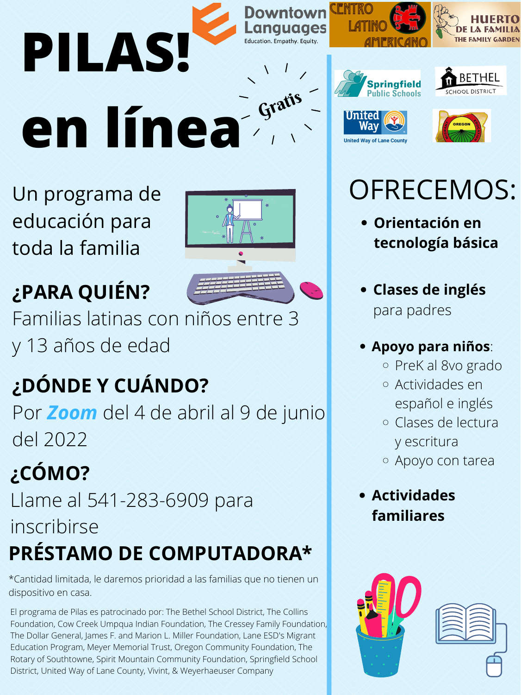## **¿DÓNDE Y CUÁNDO?** Por *Zoom* del 4 de abril al 9 de junio

del 2022











**¿PARA QUIÉN?** Familias latinas con niños entre 3 y 13 años de edad

Un programa de educación para toda la familia

El programa de Pilas es patrocinado por: The Bethel School District, The Collins Foundation, Cow Creek Umpqua Indian Foundation, The Cressey Family Foundation, The Dollar General, James F. and Marion L. Miller Foundation, Lane ESD's Migrant Education Program, Meyer Memorial Trust, Oregon Community Foundation, The Rotary of Southtowne, Spirit Mountain Community Foundation, Springfield School District, United Way of Lane County, Vivint, & Weyerhaeuser Company

### **¿CÓMO?** Llame al 541-283-6909 para inscribirse **PRÉSTAMO DE COMPUTADORA\***

# OFRECEMOS:

#### **Actividades familiares**



- **Orientación en tecnología básica**
- **Clases de inglés** para padres
- **Apoyo para niños**:

PreK al 8vo grado Actividades en español e inglés Clases de lectura y escritura Apoyo con tarea

\*Cantidad limitada, le daremos prioridad a las familias que no tienen un dispositivo en casa.